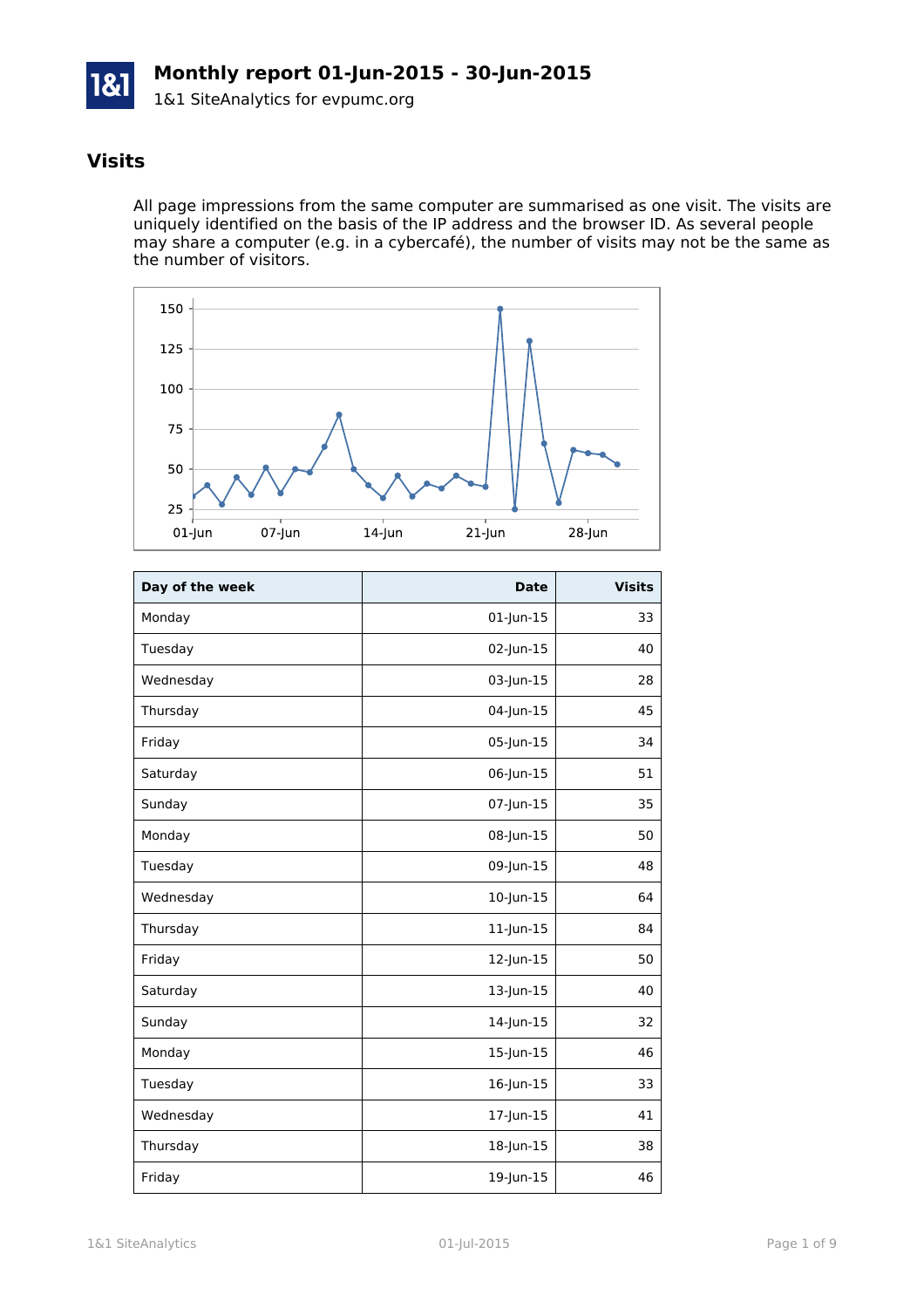

# **Visits**

All page impressions from the same computer are summarised as one visit. The visits are uniquely identified on the basis of the IP address and the browser ID. As several people may share a computer (e.g. in a cybercafé), the number of visits may not be the same as the number of visitors.



| Day of the week | <b>Date</b>     | <b>Visits</b> |
|-----------------|-----------------|---------------|
| Monday          | 01-Jun-15       | 33            |
| Tuesday         | 02-Jun-15       | 40            |
| Wednesday       | 03-Jun-15       | 28            |
| Thursday        | 04-Jun-15       | 45            |
| Friday          | 05-Jun-15       | 34            |
| Saturday        | 06-Jun-15       | 51            |
| Sunday          | 07-Jun-15       | 35            |
| Monday          | 08-Jun-15       | 50            |
| Tuesday         | 09-Jun-15       | 48            |
| Wednesday       | 10-Jun-15       | 64            |
| Thursday        | $11$ -Jun- $15$ | 84            |
| Friday          | 12-Jun-15       | 50            |
| Saturday        | 13-Jun-15       | 40            |
| Sunday          | 14-Jun-15       | 32            |
| Monday          | 15-Jun-15       | 46            |
| Tuesday         | 16-Jun-15       | 33            |
| Wednesday       | 17-Jun-15       | 41            |
| Thursday        | 18-Jun-15       | 38            |
| Friday          | 19-Jun-15       | 46            |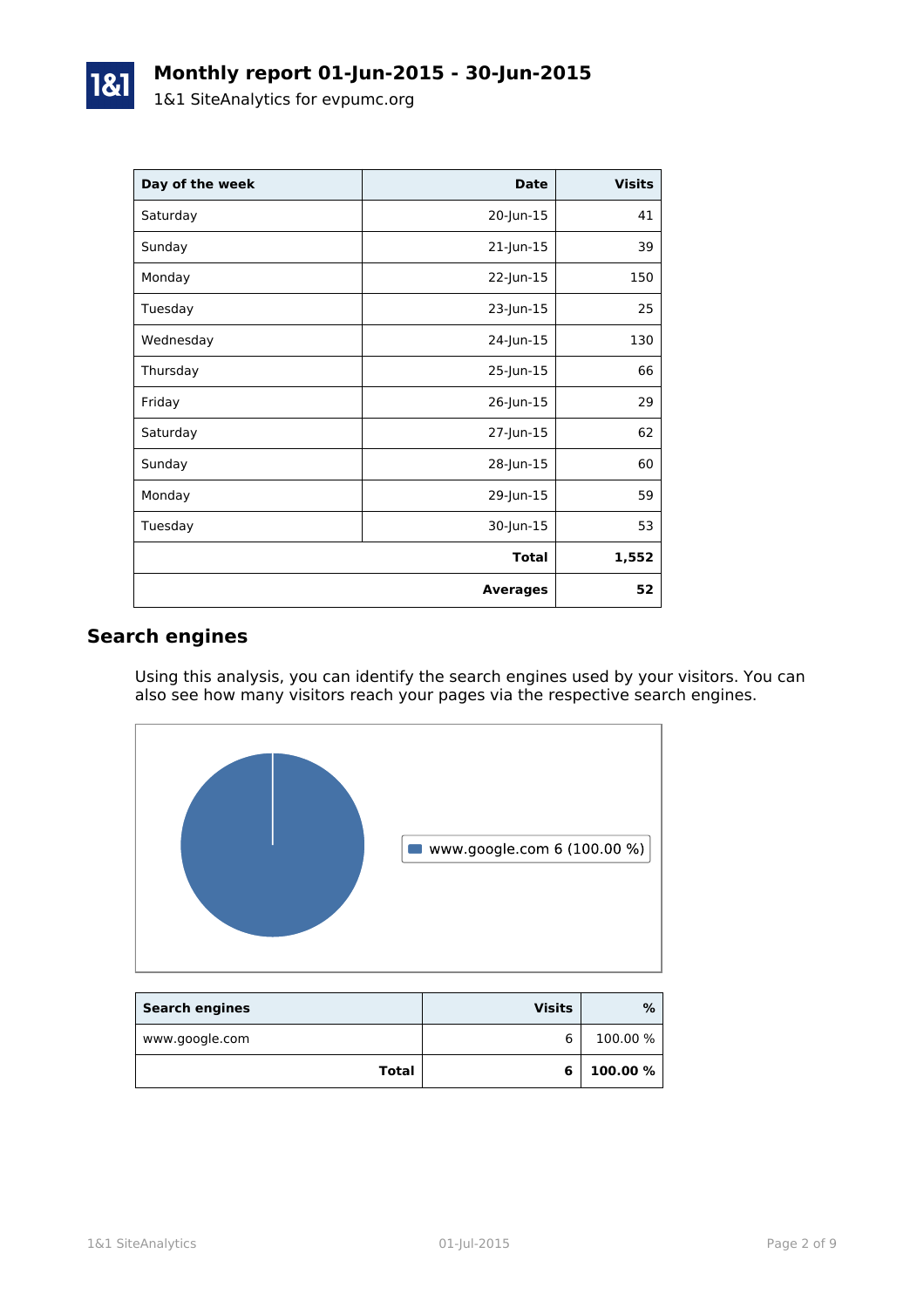| Day of the week | <b>Date</b>     | <b>Visits</b> |
|-----------------|-----------------|---------------|
| Saturday        | 20-Jun-15       | 41            |
| Sunday          | 21-Jun-15       | 39            |
| Monday          | 22-Jun-15       | 150           |
| Tuesday         | 23-Jun-15       | 25            |
| Wednesday       | 24-Jun-15       | 130           |
| Thursday        | 25-Jun-15       | 66            |
| Friday          | 26-Jun-15       | 29            |
| Saturday        | 27-Jun-15       | 62            |
| Sunday          | 28-Jun-15       | 60            |
| Monday          | 29-Jun-15       | 59            |
| Tuesday         | 30-Jun-15       | 53            |
|                 | <b>Total</b>    | 1,552         |
|                 | <b>Averages</b> | 52            |

# **Search engines**

Using this analysis, you can identify the search engines used by your visitors. You can also see how many visitors reach your pages via the respective search engines.



| <b>Search engines</b> | <b>Visits</b> | %        |
|-----------------------|---------------|----------|
| www.google.com        |               | 100.00 % |
| Total                 | 6             | 100.00 % |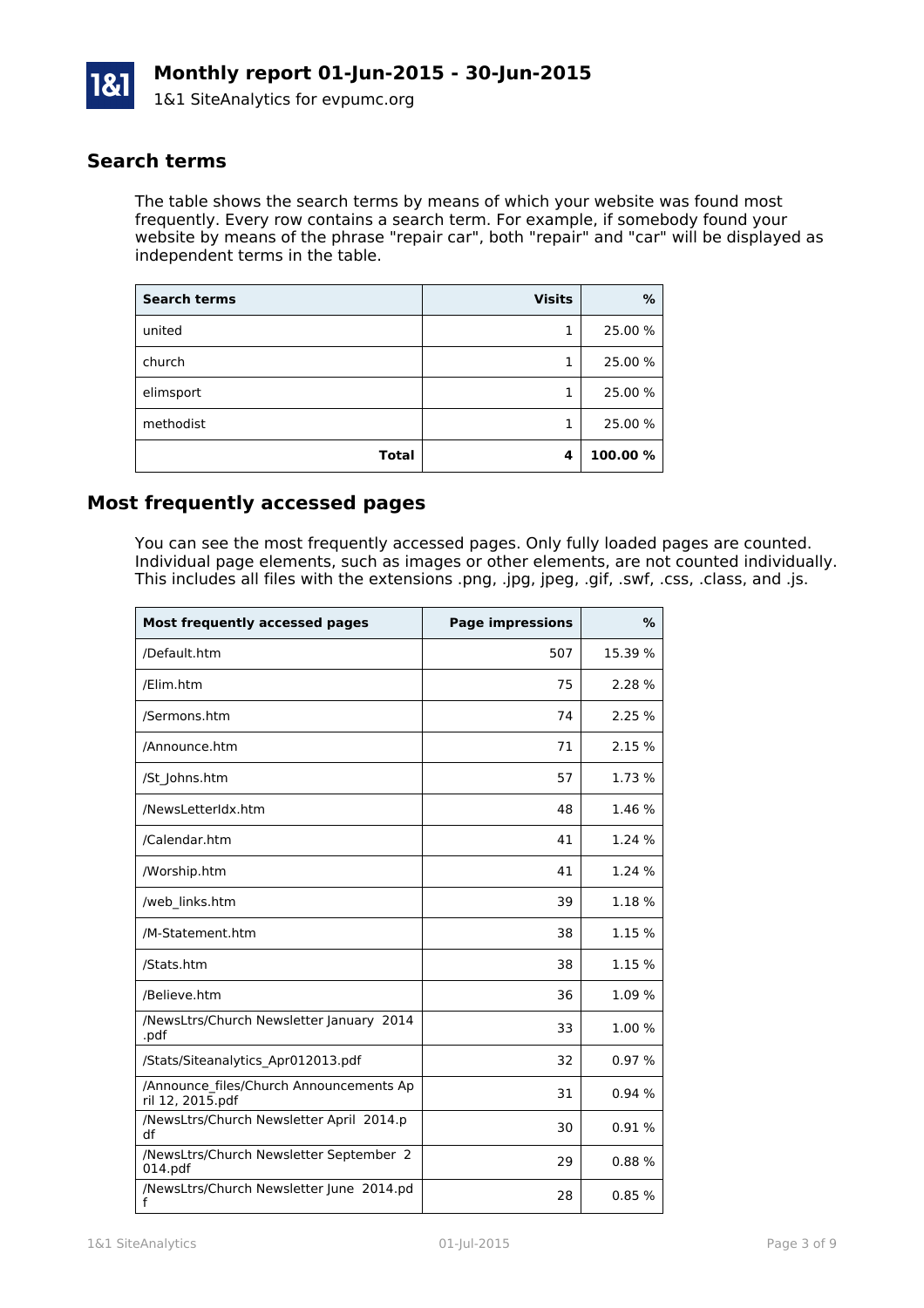

### **Search terms**

The table shows the search terms by means of which your website was found most frequently. Every row contains a search term. For example, if somebody found your website by means of the phrase "repair car", both "repair" and "car" will be displayed as independent terms in the table.

| <b>Search terms</b> | <b>Visits</b> | %       |
|---------------------|---------------|---------|
| united              | 1             | 25.00 % |
| church              | 1             | 25.00 % |
| elimsport           |               | 25.00 % |
| methodist           |               | 25.00 % |
| <b>Total</b>        | 4             | 100.00% |

## **Most frequently accessed pages**

You can see the most frequently accessed pages. Only fully loaded pages are counted. Individual page elements, such as images or other elements, are not counted individually. This includes all files with the extensions .png, .jpg, jpeg, .gif, .swf, .css, .class, and .js.

| <b>Most frequently accessed pages</b>                       | <b>Page impressions</b> | $\%$    |
|-------------------------------------------------------------|-------------------------|---------|
| /Default.htm                                                | 507                     | 15.39 % |
| /Elim.htm                                                   | 75                      | 2.28 %  |
| /Sermons.htm                                                | 74                      | 2.25 %  |
| /Announce.htm                                               | 71                      | 2.15 %  |
| /St Johns.htm                                               | 57                      | 1.73 %  |
| /NewsLetterIdx.htm                                          | 48                      | 1.46 %  |
| /Calendar.htm                                               | 41                      | 1.24 %  |
| /Worship.htm                                                | 41                      | 1.24 %  |
| /web links.htm                                              | 39                      | 1.18%   |
| /M-Statement.htm                                            | 38                      | 1.15 %  |
| /Stats.htm                                                  | 38                      | 1.15 %  |
| /Believe.htm                                                | 36                      | 1.09 %  |
| /NewsLtrs/Church Newsletter January 2014<br>.pdf            | 33                      | 1.00 %  |
| /Stats/Siteanalytics_Apr012013.pdf                          | 32                      | 0.97%   |
| /Announce files/Church Announcements Ap<br>ril 12, 2015.pdf | 31                      | 0.94%   |
| /NewsLtrs/Church Newsletter April 2014.p<br>df              | 30                      | 0.91%   |
| /NewsLtrs/Church Newsletter September 2<br>014.pdf          | 29                      | 0.88%   |
| /NewsLtrs/Church Newsletter June 2014.pd<br>f               | 28                      | 0.85%   |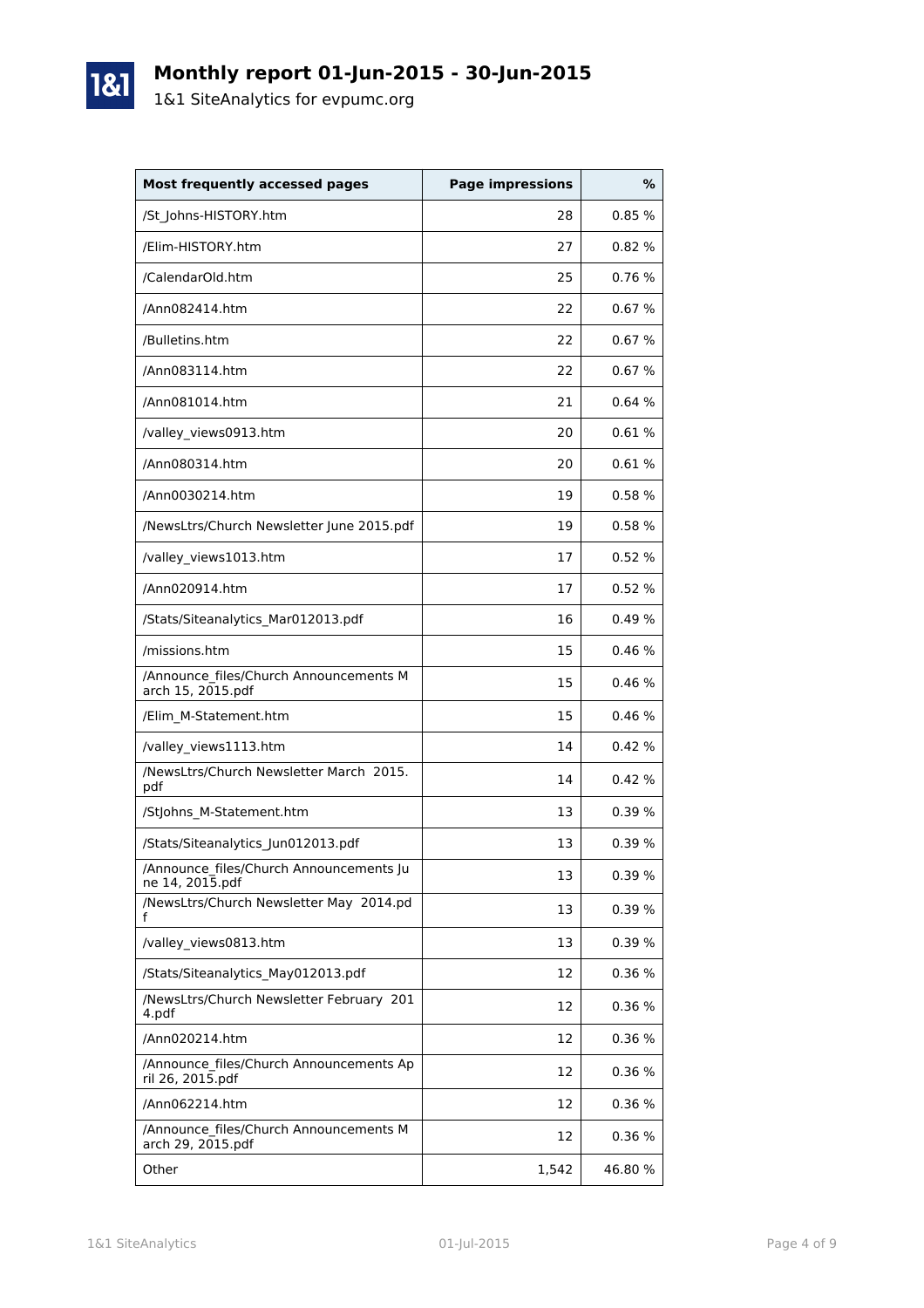

1&1

| <b>Most frequently accessed pages</b>                       | <b>Page impressions</b> | %       |
|-------------------------------------------------------------|-------------------------|---------|
| /St_Johns-HISTORY.htm                                       | 28                      | 0.85%   |
| /Elim-HISTORY.htm                                           | 27                      | 0.82%   |
| /CalendarOld.htm                                            | 25                      | 0.76%   |
| /Ann082414.htm                                              | 22                      | 0.67%   |
| /Bulletins.htm                                              | 22                      | 0.67%   |
| /Ann083114.htm                                              | 22                      | 0.67%   |
| /Ann081014.htm                                              | 21                      | 0.64%   |
| /valley_views0913.htm                                       | 20                      | 0.61%   |
| /Ann080314.htm                                              | 20                      | 0.61%   |
| /Ann0030214.htm                                             | 19                      | 0.58%   |
| /NewsLtrs/Church Newsletter June 2015.pdf                   | 19                      | 0.58%   |
| /valley_views1013.htm                                       | 17                      | 0.52%   |
| /Ann020914.htm                                              | 17                      | 0.52%   |
| /Stats/Siteanalytics_Mar012013.pdf                          | 16                      | 0.49%   |
| /missions.htm                                               | 15                      | 0.46%   |
| /Announce files/Church Announcements M<br>arch 15, 2015.pdf | 15                      | 0.46%   |
| /Elim_M-Statement.htm                                       | 15                      | 0.46%   |
| /valley_views1113.htm                                       | 14                      | 0.42%   |
| /NewsLtrs/Church Newsletter March 2015.<br>pdf              | 14                      | 0.42%   |
| /StJohns_M-Statement.htm                                    | 13                      | 0.39%   |
| /Stats/Siteanalytics_Jun012013.pdf                          | 13                      | 0.39%   |
| /Announce_files/Church Announcements Ju<br>ne 14, 2015.pdf  | 13                      | 0.39%   |
| /NewsLtrs/Church Newsletter May 2014.pd<br>f                | 13                      | 0.39%   |
| /valley_views0813.htm                                       | 13                      | 0.39%   |
| /Stats/Siteanalytics May012013.pdf                          | 12                      | 0.36%   |
| /NewsLtrs/Church Newsletter February 201<br>4.pdf           | 12                      | 0.36%   |
| /Ann020214.htm                                              | 12                      | 0.36 %  |
| /Announce_files/Church Announcements Ap<br>ril 26, 2015.pdf | 12                      | 0.36%   |
| /Ann062214.htm                                              | 12                      | 0.36%   |
| /Announce files/Church Announcements M<br>arch 29, 2015.pdf | 12                      | 0.36%   |
| Other                                                       | 1,542                   | 46.80 % |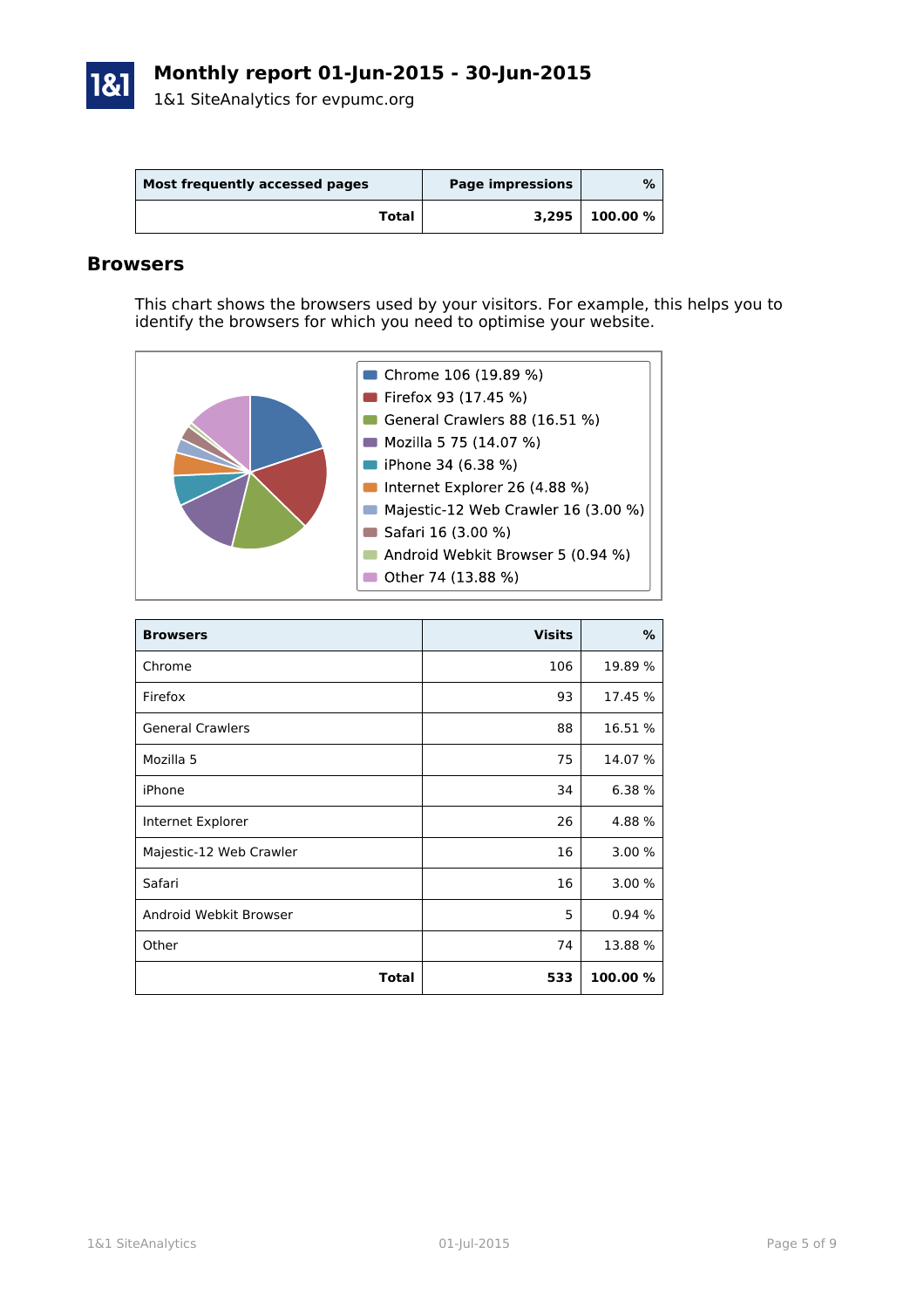

| Most frequently accessed pages | <b>Page impressions</b> | %        |
|--------------------------------|-------------------------|----------|
| Total                          | 3,295                   | 100.00 % |

#### **Browsers**

This chart shows the browsers used by your visitors. For example, this helps you to identify the browsers for which you need to optimise your website.

| ■ Chrome 106 (19.89 %)              |
|-------------------------------------|
| Firefox 93 (17.45 %)                |
| General Crawlers 88 (16.51 %)       |
| Mozilla 5 75 (14.07 %)              |
| iPhone 34 (6.38 %)                  |
| Internet Explorer 26 (4.88 %)       |
| Majestic-12 Web Crawler 16 (3.00 %) |
| Safari 16 (3.00 %)                  |
| Android Webkit Browser 5 (0.94 %)   |
| Other 74 (13.88 %)                  |
|                                     |

| <b>Browsers</b>         | <b>Visits</b> | %        |
|-------------------------|---------------|----------|
| Chrome                  | 106           | 19.89 %  |
| Firefox                 | 93            | 17.45 %  |
| <b>General Crawlers</b> | 88            | 16.51 %  |
| Mozilla 5               | 75            | 14.07 %  |
| iPhone                  | 34            | 6.38 %   |
| Internet Explorer       | 26            | 4.88%    |
| Majestic-12 Web Crawler | 16            | 3.00%    |
| Safari                  | 16            | 3.00 %   |
| Android Webkit Browser  | 5             | 0.94 %   |
| Other                   | 74            | 13.88 %  |
| Total                   | 533           | 100.00 % |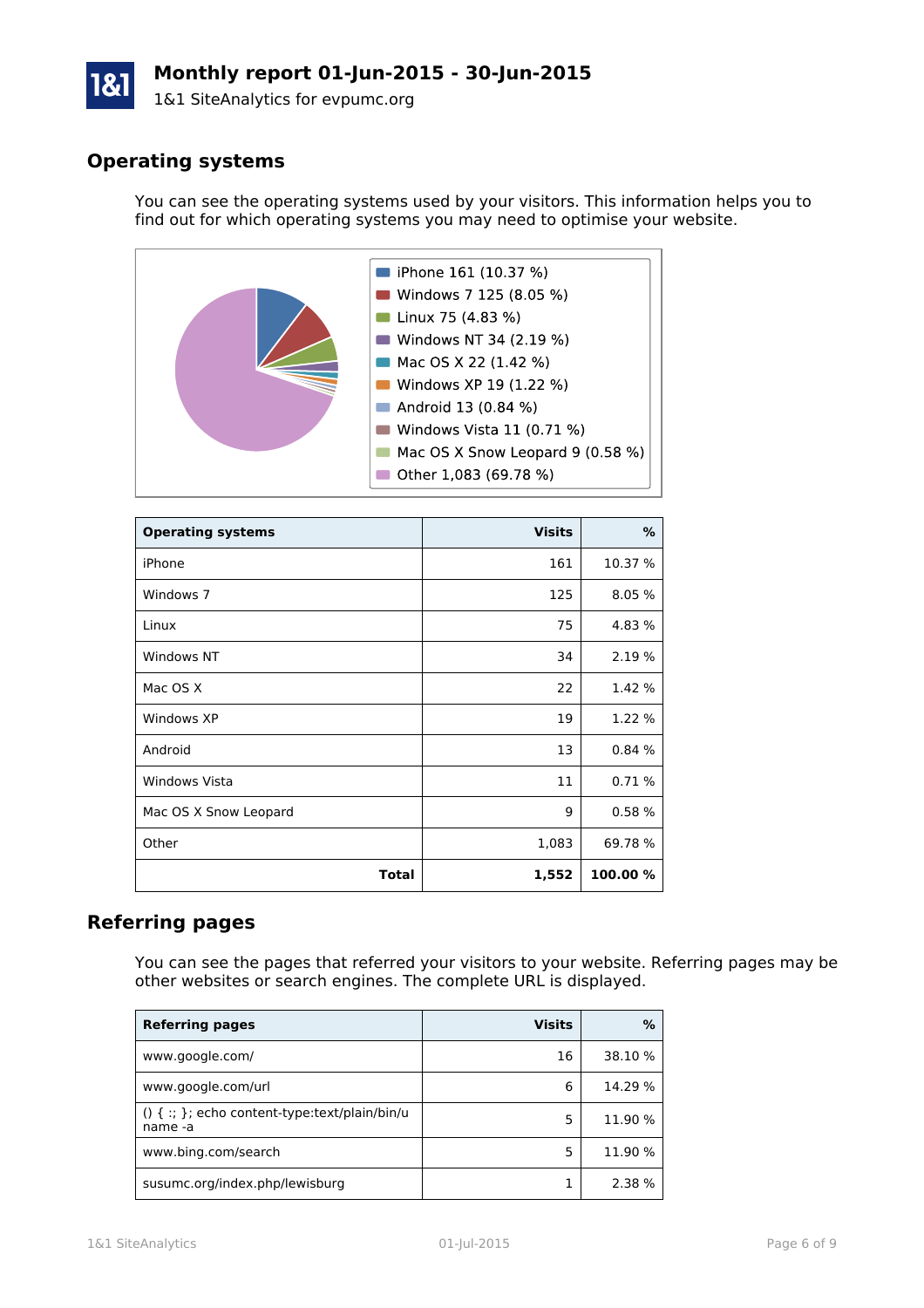# **Monthly report 01-Jun-2015 - 30-Jun-2015**

1&1 SiteAnalytics for evpumc.org

# **Operating systems**

You can see the operating systems used by your visitors. This information helps you to find out for which operating systems you may need to optimise your website.



| <b>Operating systems</b> | <b>Visits</b> | %        |
|--------------------------|---------------|----------|
| iPhone                   | 161           | 10.37 %  |
| Windows 7                | 125           | 8.05 %   |
| Linux                    | 75            | 4.83 %   |
| Windows NT               | 34            | 2.19 %   |
| Mac OS X                 | 22            | 1.42 %   |
| Windows XP               | 19            | 1.22 %   |
| Android                  | 13            | 0.84%    |
| <b>Windows Vista</b>     | 11            | 0.71%    |
| Mac OS X Snow Leopard    | 9             | 0.58%    |
| Other                    | 1,083         | 69.78 %  |
| Total                    | 1,552         | 100.00 % |

# **Referring pages**

You can see the pages that referred your visitors to your website. Referring pages may be other websites or search engines. The complete URL is displayed.

| <b>Referring pages</b>                                         | <b>Visits</b> | ℅       |
|----------------------------------------------------------------|---------------|---------|
| www.google.com/                                                | 16            | 38.10 % |
| www.google.com/url                                             | 6             | 14.29 % |
| $() \{ : : \}$ ; echo content-type:text/plain/bin/u<br>name -a | 5             | 11.90 % |
| www.bing.com/search                                            | 5             | 11.90 % |
| susumc.org/index.php/lewisburg                                 |               | 2.38 %  |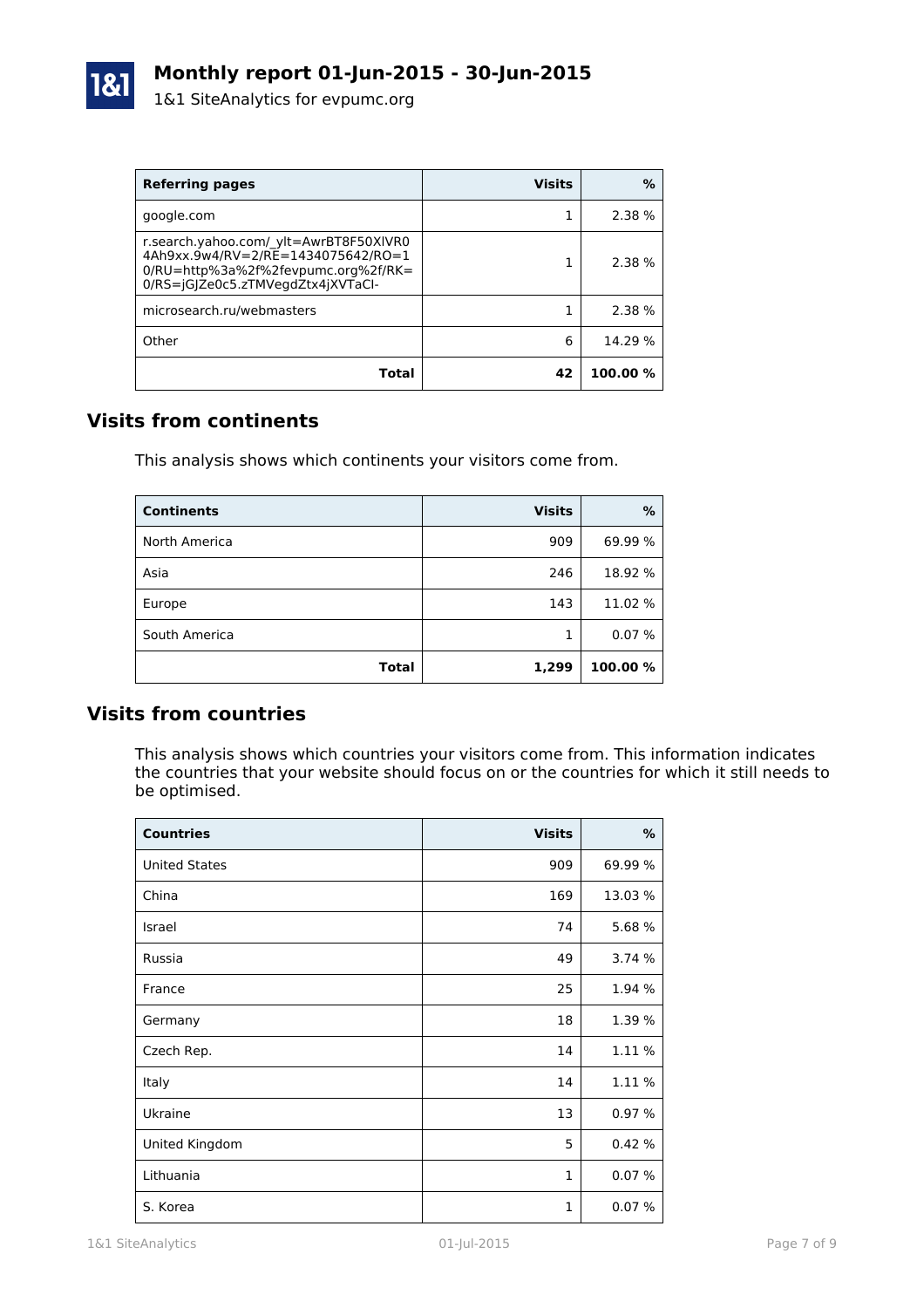

| <b>Referring pages</b>                                                                                                                                   | <b>Visits</b> | %        |
|----------------------------------------------------------------------------------------------------------------------------------------------------------|---------------|----------|
| google.com                                                                                                                                               |               | 2.38%    |
| r.search.yahoo.com/ ylt=AwrBT8F50XIVR0<br>4Ah9xx.9w4/RV=2/RE=1434075642/RO=1<br>0/RU=http%3a%2f%2fevpumc.org%2f/RK=<br>0/RS=iG Ze0c5.zTMVegdZtx4jXVTaCl- |               | 2.38%    |
| microsearch.ru/webmasters                                                                                                                                |               | 2.38 %   |
| Other                                                                                                                                                    | 6             | 14.29 %  |
| Total                                                                                                                                                    | 42            | 100.00 % |

# **Visits from continents**

This analysis shows which continents your visitors come from.

| <b>Continents</b> | <b>Visits</b> | %        |
|-------------------|---------------|----------|
| North America     | 909           | 69.99 %  |
| Asia              | 246           | 18.92 %  |
| Europe            | 143           | 11.02 %  |
| South America     |               | 0.07%    |
| Total             | 1,299         | 100.00 % |

## **Visits from countries**

This analysis shows which countries your visitors come from. This information indicates the countries that your website should focus on or the countries for which it still needs to be optimised.

| <b>Countries</b>     | <b>Visits</b> | $\%$    |
|----------------------|---------------|---------|
| <b>United States</b> | 909           | 69.99 % |
| China                | 169           | 13.03 % |
| Israel               | 74            | 5.68 %  |
| Russia               | 49            | 3.74 %  |
| France               | 25            | 1.94 %  |
| Germany              | 18            | 1.39 %  |
| Czech Rep.           | 14            | 1.11 %  |
| Italy                | 14            | 1.11 %  |
| Ukraine              | 13            | 0.97%   |
| United Kingdom       | 5             | 0.42%   |
| Lithuania            | $\mathbf{1}$  | 0.07%   |
| S. Korea             | $\mathbf{1}$  | 0.07%   |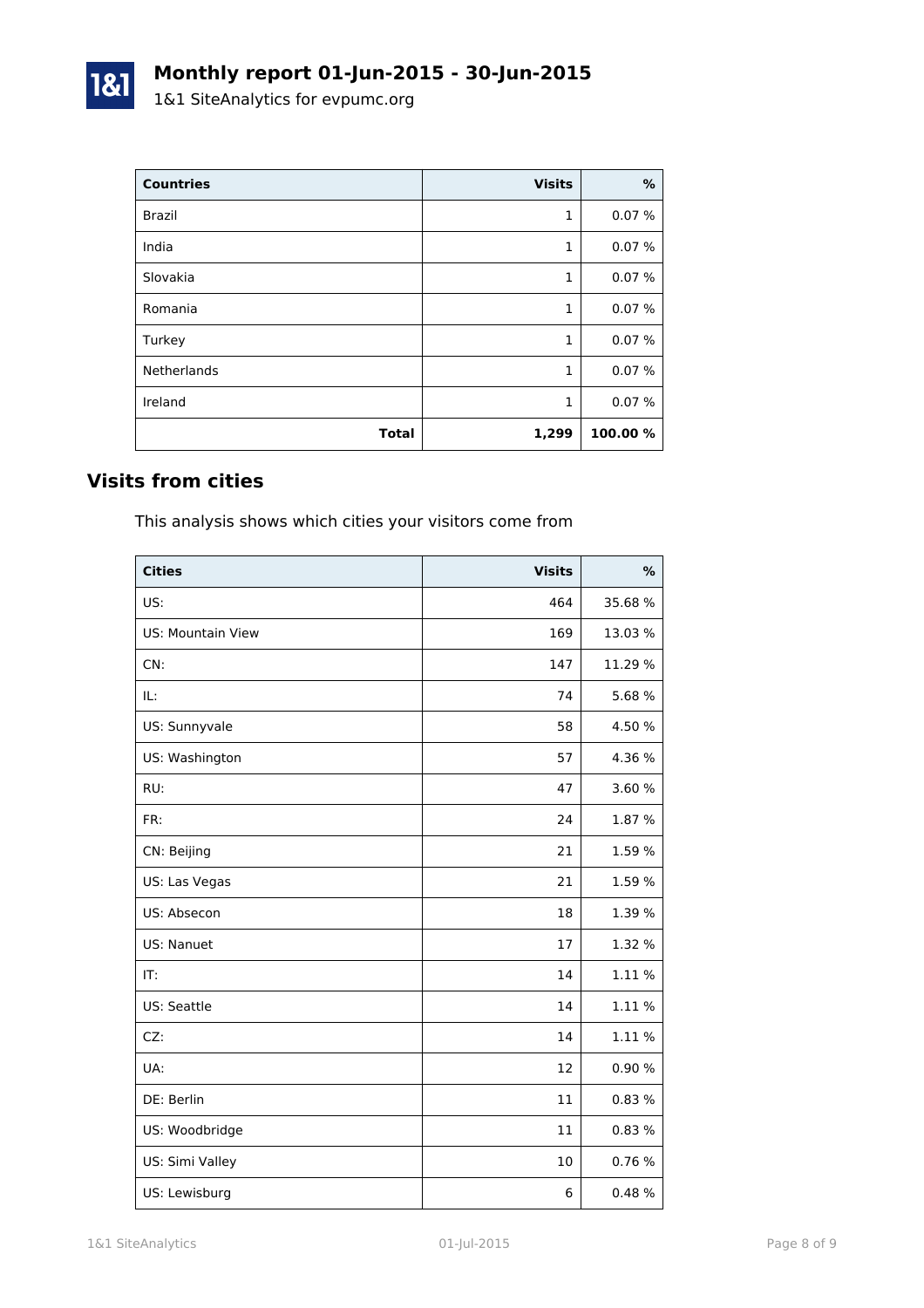| <b>Countries</b>   | <b>Visits</b> | %        |
|--------------------|---------------|----------|
| <b>Brazil</b>      | 1             | 0.07%    |
| India              | 1             | 0.07%    |
| Slovakia           | 1             | 0.07%    |
| Romania            | 1             | 0.07%    |
| Turkey             | 1             | 0.07%    |
| <b>Netherlands</b> | 1             | 0.07%    |
| Ireland            | 1             | 0.07%    |
| <b>Total</b>       | 1,299         | 100.00 % |

# **Visits from cities**

1&1

This analysis shows which cities your visitors come from

| <b>Cities</b>            | <b>Visits</b> | %       |
|--------------------------|---------------|---------|
| US:                      | 464           | 35.68 % |
| <b>US: Mountain View</b> | 169           | 13.03%  |
| CN:                      | 147           | 11.29 % |
| IL:                      | 74            | 5.68%   |
| US: Sunnyvale            | 58            | 4.50 %  |
| US: Washington           | 57            | 4.36 %  |
| RU:                      | 47            | 3.60 %  |
| FR:                      | 24            | 1.87 %  |
| CN: Beijing              | 21            | 1.59 %  |
| US: Las Vegas            | 21            | 1.59 %  |
| US: Absecon              | 18            | 1.39 %  |
| US: Nanuet               | 17            | 1.32 %  |
| IT:                      | 14            | 1.11%   |
| US: Seattle              | 14            | 1.11 %  |
| CZ:                      | 14            | 1.11 %  |
| UA:                      | 12            | 0.90 %  |
| DE: Berlin               | 11            | 0.83%   |
| US: Woodbridge           | 11            | 0.83%   |
| US: Simi Valley          | 10            | 0.76 %  |
| US: Lewisburg            | 6             | 0.48%   |